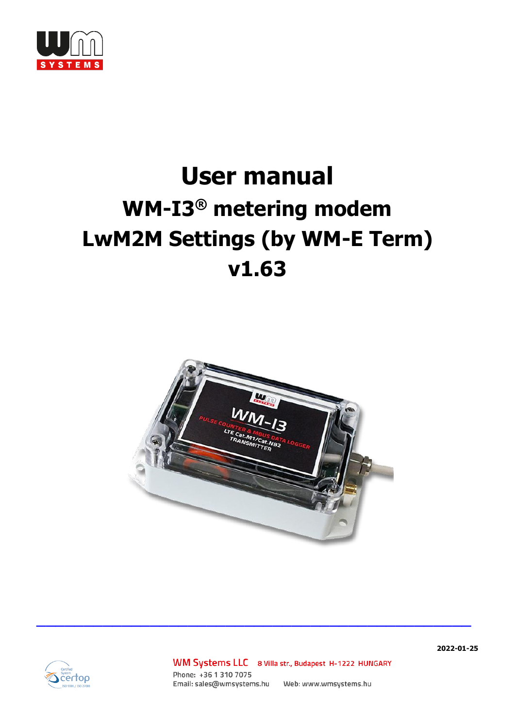

# **User manual WM-I3 ® metering modem LwM2M Settings (by WM-E Term) v1.63**





WM Systems LLC 8 Villa str., Budapest H-1222 HUNGARY Phone: +36 1 310 7075 

 $\mathcal{L}_\text{max}$  and  $\mathcal{L}_\text{max}$  and  $\mathcal{L}_\text{max}$  and  $\mathcal{L}_\text{max}$  and  $\mathcal{L}_\text{max}$  and  $\mathcal{L}_\text{max}$ 

**2022-01-25**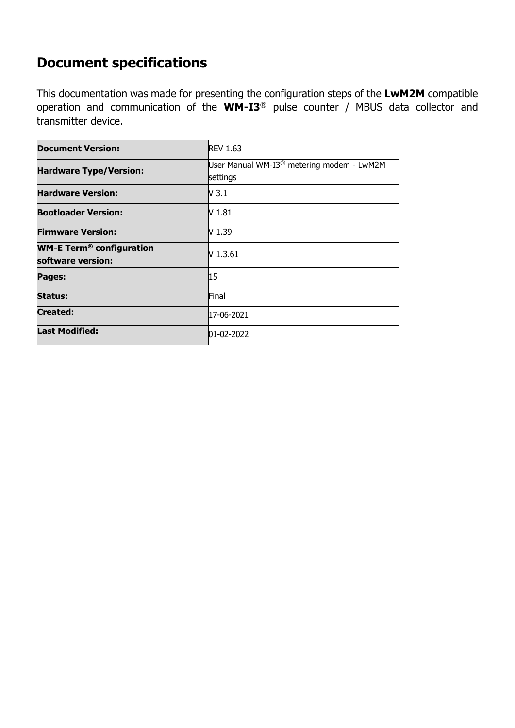# **Document specifications**

This documentation was made for presenting the configuration steps of the **LwM2M** compatible operation and communication of the **WM-I3**® pulse counter / MBUS data collector and transmitter device.

| <b>Document Version:</b>                                        | <b>REV 1.63</b>                                                   |
|-----------------------------------------------------------------|-------------------------------------------------------------------|
| <b>Hardware Type/Version:</b>                                   | User Manual WM-I3 <sup>®</sup> metering modem - LwM2M<br>settings |
| <b>Hardware Version:</b>                                        | V 3.1                                                             |
| <b>Bootloader Version:</b>                                      | V 1.81                                                            |
| <b>Firmware Version:</b>                                        | V 1.39                                                            |
| <b>WM-E Term<sup>®</sup> configuration</b><br>software version: | V 1.3.61                                                          |
| Pages:                                                          | 15                                                                |
| <b>Status:</b>                                                  | Final                                                             |
| <b>Created:</b>                                                 | 17-06-2021                                                        |
| <b>Last Modified:</b>                                           | 01-02-2022                                                        |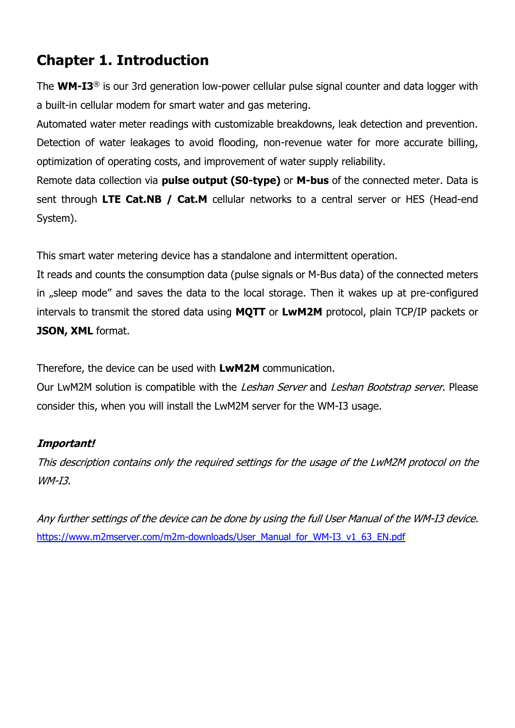# **Chapter 1. Introduction**

The **WM-I3** ® is our 3rd generation low-power cellular [pulse signal counter and data logger](https://m2mserver.com/en/product-category/water-metering-devices) with a built-in cellular modem for smart water and gas metering.

Automated water meter readings with customizable breakdowns, leak detection and prevention. Detection of water leakages to avoid flooding, non-revenue water for more accurate billing, optimization of operating costs, and improvement of water supply reliability.

Remote data collection via **pulse output (S0-type)** or **M-bus** of the connected meter. Data is sent through **LTE Cat.NB / Cat.M** cellular networks to a central server or HES (Head-end System).

This smart water metering device has a standalone and intermittent operation.

It reads and counts the consumption data (pulse signals or M-Bus data) of the connected meters in "sleep mode" and saves the data to the local storage. Then it wakes up at pre-configured intervals to transmit the stored data using **MQTT** or **LwM2M** protocol, plain TCP/IP packets or **JSON, XML** format.

Therefore, the device can be used with **LwM2M** communication.

Our LwM2M solution is compatible with the Leshan Server and Leshan Bootstrap server. Please consider this, when you will install the LwM2M server for the WM-I3 usage.

#### **Important!**

This description contains only the required settings for the usage of the LwM2M protocol on the WM-I3.

Any further settings of the device can be done by using the full User Manual of the WM-I3 device. [https://www.m2mserver.com/m2m-downloads/User\\_Manual\\_for\\_WM-I3\\_v1\\_63\\_EN.pdf](https://www.m2mserver.com/m2m-downloads/User_Manual_for_WM-I3_v1_63_EN.pdf)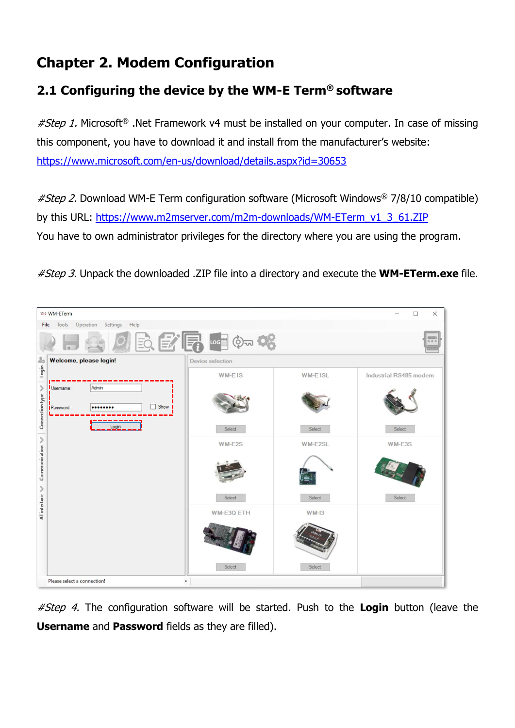# **Chapter 2. Modem Configuration**

## **2.1 Configuring the device by the WM-E Term® software**

 $#Step 1$ . Microsoft<sup>®</sup> .Net Framework v4 must be installed on your computer. In case of missing this component, you have to download it and install from the manufacturer's website: <https://www.microsoft.com/en-us/download/details.aspx?id=30653>

*#Step 2.* Download WM-E Term configuration software (Microsoft Windows<sup>®</sup> 7/8/10 compatible) by this URL: [https://www.m2mserver.com/m2m-downloads/WM-ETerm\\_v1\\_3\\_61.ZIP](https://www.m2mserver.com/m2m-downloads/WM-ETerm_v1_3_61.ZIP)  You have to own administrator privileges for the directory where you are using the program.

#Step 3. Unpack the downloaded .ZIP file into a directory and execute the **WM-ETerm.exe** file.



#Step 4. The configuration software will be started. Push to the **Login** button (leave the **Username** and **Password** fields as they are filled).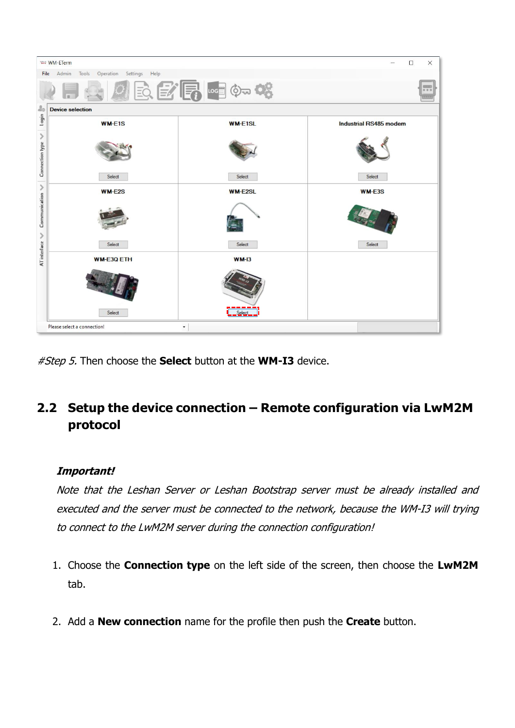|                      | <b>WAN-ETerm</b><br>$\Box$<br>$\times$         |                |                        |  |  |  |  |
|----------------------|------------------------------------------------|----------------|------------------------|--|--|--|--|
|                      | Admin<br>Tools Operation Settings Help<br>File |                |                        |  |  |  |  |
|                      |                                                | 医学属阳如帐         | 000                    |  |  |  |  |
| 20                   | <b>Device selection</b>                        |                |                        |  |  |  |  |
| login                | <b>WM-E1S</b>                                  | <b>WM-E1SL</b> | Industrial RS485 modem |  |  |  |  |
| ≯<br>Connection type |                                                |                |                        |  |  |  |  |
|                      | Select                                         | Select         | Select                 |  |  |  |  |
| $\mathcal{P}$        | <b>WM-E2S</b>                                  | <b>WM-E2SL</b> | <b>WM-E3S</b>          |  |  |  |  |
| Communication<br>⋋   |                                                |                |                        |  |  |  |  |
|                      | Select                                         | Select         | Select                 |  |  |  |  |
| AT interface         | <b>WM-E3Q ETH</b>                              | $WM-13$        |                        |  |  |  |  |
|                      |                                                |                |                        |  |  |  |  |
|                      | Select                                         |                |                        |  |  |  |  |
|                      | Please select a connection!<br>$\check{}$      |                |                        |  |  |  |  |

#Step 5. Then choose the **Select** button at the **WM-I3** device.

## **2.2 Setup the device connection – Remote configuration via LwM2M protocol**

#### **Important!**

Note that the Leshan Server or Leshan Bootstrap server must be already installed and executed and the server must be connected to the network, because the WM-I3 will trying to connect to the LwM2M server during the connection configuration!

- 1. Choose the **Connection type** on the left side of the screen, then choose the **LwM2M**  tab.
- 2. Add a **New connection** name for the profile then push the **Create** button.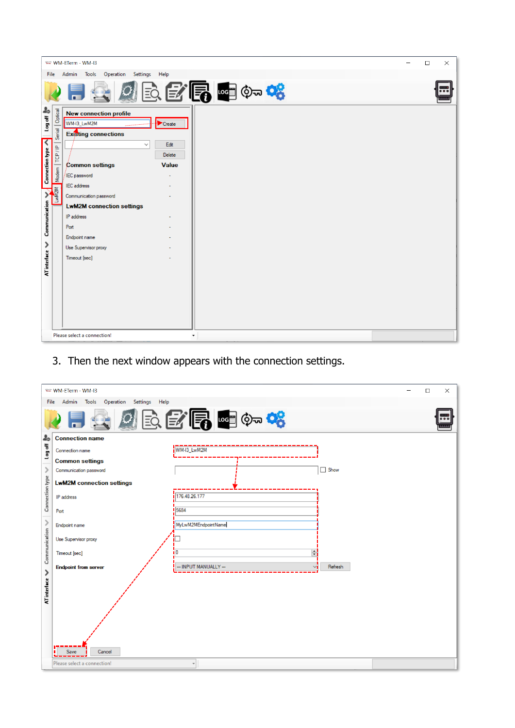|                                                 | WANT WM-ETerm - WM-I3<br>$\Box$<br>$\times$ |                                                                                       |           |  |  |           |
|-------------------------------------------------|---------------------------------------------|---------------------------------------------------------------------------------------|-----------|--|--|-----------|
|                                                 | Admin Tools Operation Settings Help<br>File |                                                                                       |           |  |  |           |
|                                                 |                                             | 全国全局中的                                                                                |           |  |  | $\bullet$ |
| log off <sup>8</sup><br>$\overline{\mathbf{C}}$ | Optical<br>Serial                           | <b>New connection profile</b><br>WM-I3_LwM2M<br>Create<br><b>Existing connections</b> |           |  |  |           |
|                                                 | TCP/IP                                      | Edit<br>$\checkmark$<br>Delete                                                        |           |  |  |           |
| <b>Connection type</b>                          |                                             | Common settings<br><b>Value</b>                                                       |           |  |  |           |
|                                                 | Modem                                       | IEC password                                                                          |           |  |  |           |
|                                                 | NZM                                         | <b>IEC</b> address                                                                    |           |  |  |           |
|                                                 |                                             | Communication password<br><b>LwM2M connection settings</b>                            |           |  |  |           |
| Communication                                   |                                             | IP address                                                                            |           |  |  |           |
|                                                 |                                             | Port                                                                                  |           |  |  |           |
|                                                 |                                             | Endpoint name                                                                         |           |  |  |           |
| ≯                                               |                                             | Use Supervisor proxy                                                                  |           |  |  |           |
|                                                 |                                             | Timeout [sec]                                                                         |           |  |  |           |
| AT interface                                    |                                             |                                                                                       |           |  |  |           |
|                                                 |                                             |                                                                                       |           |  |  |           |
|                                                 |                                             |                                                                                       |           |  |  |           |
|                                                 |                                             |                                                                                       |           |  |  |           |
|                                                 |                                             |                                                                                       |           |  |  |           |
|                                                 |                                             | Please select a connection!                                                           | $\!\star$ |  |  |           |

3. Then the next window appears with the connection settings.

|                 | Watt WM-ETerm - WM-I3<br>$\times$<br>□               |                        |             |  |  |  |  |
|-----------------|------------------------------------------------------|------------------------|-------------|--|--|--|--|
|                 | Operation<br>Settings Help<br>Admin<br>Tools<br>File |                        |             |  |  |  |  |
|                 | 全国医学局中的                                              |                        |             |  |  |  |  |
| 20              | <b>Connection name</b>                               |                        |             |  |  |  |  |
| log off         | Connection name                                      | WM-I3_LwM2M            |             |  |  |  |  |
|                 | <b>Common settings</b>                               |                        |             |  |  |  |  |
| $\mathcal{P}$   | Communication password                               |                        | $\Box$ Show |  |  |  |  |
| Connection type | <b>LwM2M connection settings</b>                     |                        |             |  |  |  |  |
|                 | IP address                                           | 176.48.26.177          |             |  |  |  |  |
|                 | Port                                                 | 5684                   |             |  |  |  |  |
| $\,$            | Endpoint name                                        | MyLwM2MEndpointName    |             |  |  |  |  |
|                 | Use Supervisor proxy                                 |                        |             |  |  |  |  |
| Communication   | Timeout [sec]                                        | $\div$<br>i O          |             |  |  |  |  |
| ≯               | <b>Endpoint from server</b>                          | --- INPUT MANUALLY --- | Refresh     |  |  |  |  |
| AT interface    |                                                      |                        |             |  |  |  |  |
|                 |                                                      |                        |             |  |  |  |  |
|                 |                                                      |                        |             |  |  |  |  |
|                 | Cancel<br>Save                                       |                        |             |  |  |  |  |
|                 | Please select a connection!                          |                        |             |  |  |  |  |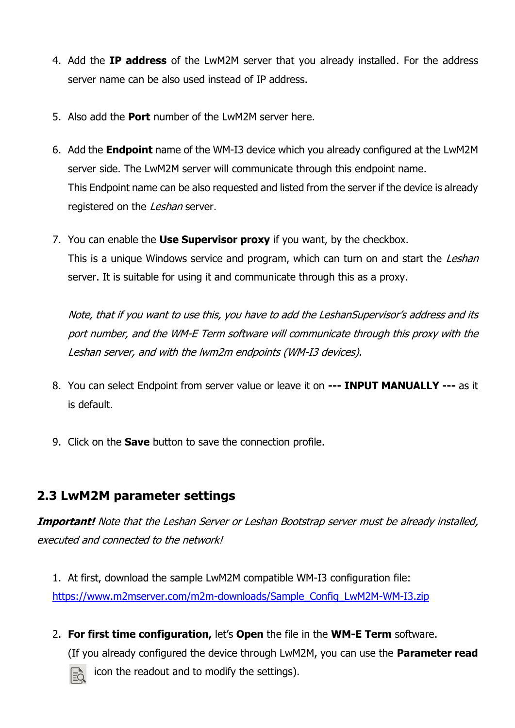- 4. Add the **IP address** of the LwM2M server that you already installed. For the address server name can be also used instead of IP address.
- 5. Also add the **Port** number of the LwM2M server here.
- 6. Add the **Endpoint** name of the WM-I3 device which you already configured at the LwM2M server side. The LwM2M server will communicate through this endpoint name. This Endpoint name can be also requested and listed from the server if the device is already registered on the Leshan server.
- 7. You can enable the **Use Supervisor proxy** if you want, by the checkbox. This is a unique Windows service and program, which can turn on and start the Leshan server. It is suitable for using it and communicate through this as a proxy.

Note, that if you want to use this, you have to add the LeshanSupervisor's address and its port number, and the WM-E Term software will communicate through this proxy with the Leshan server, and with the lwm2m endpoints (WM-I3 devices).

- 8. You can select Endpoint from server value or leave it on **--- INPUT MANUALLY ---** as it is default.
- 9. Click on the **Save** button to save the connection profile.

## **2.3 LwM2M parameter settings**

**Important!** Note that the Leshan Server or Leshan Bootstrap server must be already installed, executed and connected to the network!

1. At first, download the sample LwM2M compatible WM-I3 configuration file: [https://www.m2mserver.com/m2m-downloads/Sample\\_Config\\_LwM2M-WM-I3.zip](https://www.m2mserver.com/m2m-downloads/Sample_Config_LwM2M-WM-I3.zip)

2. **For first time configuration,** let's **Open** the file in the **WM-E Term** software.

(If you already configured the device through LwM2M, you can use the **Parameter read**



icon the readout and to modify the settings).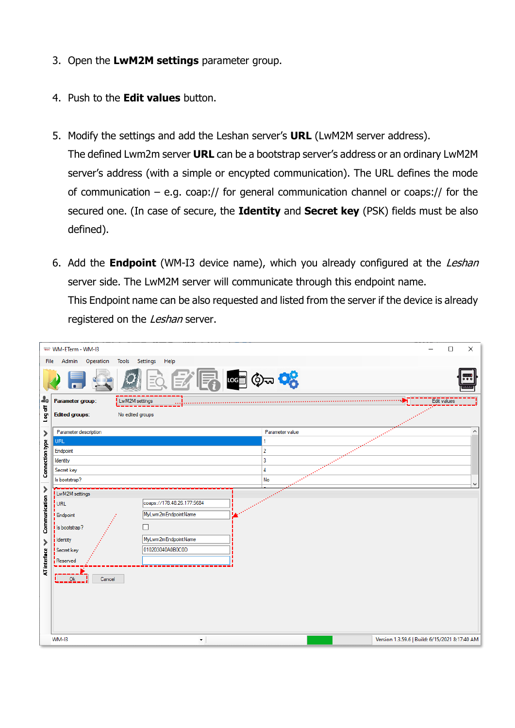- 3. Open the **LwM2M settings** parameter group.
- 4. Push to the **Edit values** button.
- 5. Modify the settings and add the Leshan server's **URL** (LwM2M server address). The defined Lwm2m server **URL** can be a bootstrap server's address or an ordinary LwM2M server's address (with a simple or encypted communication). The URL defines the mode of communication – e.g. coap:// for general communication channel or coaps:// for the secured one. (In case of secure, the **Identity** and **Secret key** (PSK) fields must be also defined).
- 6. Add the **Endpoint** (WM-I3 device name), which you already configured at the Leshan server side. The LwM2M server will communicate through this endpoint name. This Endpoint name can be also requested and listed from the server if the device is already registered on the Leshan server.

|                 |      | was WM-ETerm - WM-13       |                                                | $\Box$      | $\times$ |
|-----------------|------|----------------------------|------------------------------------------------|-------------|----------|
|                 | File | Admin<br>Operation         | Settings<br>Help<br>Tools                      |             |          |
|                 |      |                            | P ∞ ⊙∞ <mark>≎</mark>                          |             | ₩.       |
| 20              |      | Parameter group:           | LwM2M settings                                 | Edit values |          |
| Ho go J         |      | <b>Edited groups:</b>      | No edited groups                               |             |          |
| >               |      | Parameter description      | Parameter value                                |             | ۸        |
|                 |      | URL                        | 1                                              |             |          |
|                 |      | Endpoint                   | $\overline{2}$<br>$\overline{3}$               |             |          |
| Connection type |      | Identity<br>Secret key     | $\overline{4}$                                 |             |          |
|                 |      | Is bootstrap?              | No                                             |             |          |
| ⋗               |      |                            |                                                |             | v        |
|                 |      | LwM2M settings             | coaps://178.48.26.177:5684                     |             |          |
| Communication   |      | $ $ URL                    |                                                |             |          |
|                 |      | <b>Endpoint</b>            | MyLwm2mEndpointName                            |             |          |
|                 | г    | I Is bootstrap?            |                                                |             |          |
| ⋗               |      | <b>i</b> Identity          | MyLwm2mEndpointName                            |             |          |
|                 |      | Secret key                 | 010203040A0B0C0D                               |             |          |
| AT interface    |      | Reserved                   |                                                |             |          |
|                 |      | Ù<br>Ok<br>Cancel<br>WM-I3 | Version 1.3.59.6   Build: 6/15/2021 8:17:40 AM |             |          |
|                 |      |                            | ۰                                              |             |          |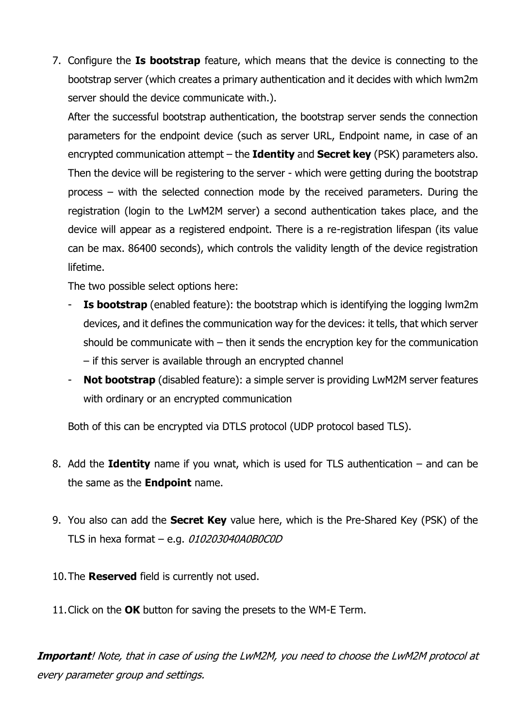7. Configure the **Is bootstrap** feature, which means that the device is connecting to the bootstrap server (which creates a primary authentication and it decides with which lwm2m server should the device communicate with.).

After the successful bootstrap authentication, the bootstrap server sends the connection parameters for the endpoint device (such as server URL, Endpoint name, in case of an encrypted communication attempt – the **Identity** and **Secret key** (PSK) parameters also. Then the device will be registering to the server - which were getting during the bootstrap process – with the selected connection mode by the received parameters. During the registration (login to the LwM2M server) a second authentication takes place, and the device will appear as a registered endpoint. There is a re-registration lifespan (its value can be max. 86400 seconds), which controls the validity length of the device registration lifetime.

The two possible select options here:

- **Is bootstrap** (enabled feature): the bootstrap which is identifying the logging lwm2m devices, and it defines the communication way for the devices: it tells, that which server should be communicate with – then it sends the encryption key for the communication – if this server is available through an encrypted channel
- **Not bootstrap** (disabled feature): a simple server is providing LwM2M server features with ordinary or an encrypted communication

Both of this can be encrypted via DTLS protocol (UDP protocol based TLS).

- 8. Add the **Identity** name if you wnat, which is used for TLS authentication and can be the same as the **Endpoint** name.
- 9. You also can add the **Secret Key** value here, which is the Pre-Shared Key (PSK) of the TLS in hexa format – e.g. 010203040A0B0C0D

10.The **Reserved** field is currently not used.

11.Click on the **OK** button for saving the presets to the WM-E Term.

**Important**! Note, that in case of using the LwM2M, you need to choose the LwM2M protocol at every parameter group and settings.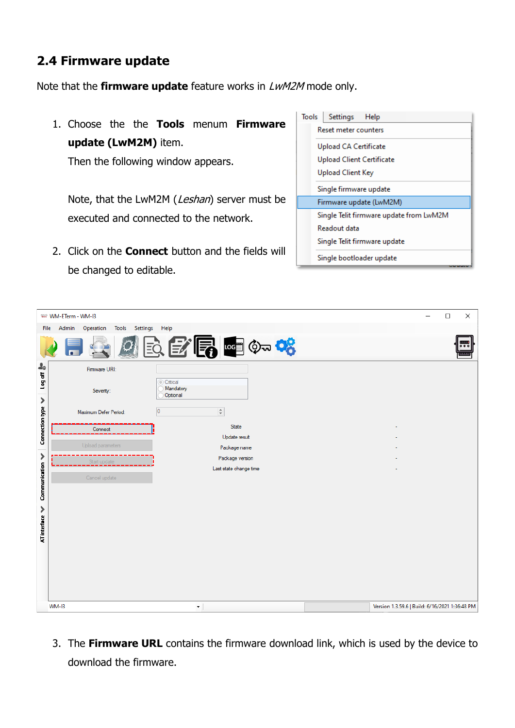## **2.4 Firmware update**

Note that the **firmware update** feature works in LwM2M mode only.

1. Choose the the **Tools** menum **Firmware update (LwM2M)** item.

Then the following window appears.

Note, that the LwM2M (Leshan) server must be executed and connected to the network.

2. Click on the **Connect** button and the fields will be changed to editable.

| Tools | Settings Help                           |
|-------|-----------------------------------------|
|       | Reset meter counters                    |
|       | Upload CA Certificate                   |
|       | Upload Client Certificate               |
|       | <b>Upload Client Key</b>                |
|       | Single firmware update                  |
|       | Firmware update (LwM2M)                 |
|       | Single Telit firmware update from LwM2M |
|       | Readout data                            |
|       | Single Telit firmware update            |
|       | Single bootloader update                |

|                     | was WM-ETerm - WM-13                      |                                           | $\Box$<br>$\times$<br>—                        |
|---------------------|-------------------------------------------|-------------------------------------------|------------------------------------------------|
| File                | Admin<br>Operation<br>Tools Settings Help |                                           |                                                |
|                     |                                           |                                           |                                                |
|                     |                                           | 医学局中的                                     | 000                                            |
| 20<br>log off       | Firmware URI:                             | Critical                                  |                                                |
| ≯                   | Severity:                                 | Mandatory<br>Optional                     |                                                |
| Connection type     | Maximum Defer Period:                     | $\div$<br>$\overline{\mathbf{0}}$         |                                                |
|                     | Connect                                   | State                                     |                                                |
|                     | Upload parameters                         | Update result                             |                                                |
| ⋟                   |                                           | Package name                              |                                                |
|                     | Start update                              | Package version<br>Last state change time |                                                |
|                     | Cancel update                             |                                           |                                                |
| Communication       |                                           |                                           |                                                |
|                     |                                           |                                           |                                                |
| $\mathcal{P}$       |                                           |                                           |                                                |
|                     |                                           |                                           |                                                |
| <b>AT</b> interface |                                           |                                           |                                                |
|                     |                                           |                                           |                                                |
|                     |                                           |                                           |                                                |
|                     |                                           |                                           |                                                |
|                     |                                           |                                           |                                                |
|                     |                                           |                                           |                                                |
|                     | WM-I3                                     | $\blacktriangledown$                      | Version 1.3.59.6   Build: 6/16/2021 1:36:48 PM |

3. The **Firmware URL** contains the firmware download link, which is used by the device to download the firmware.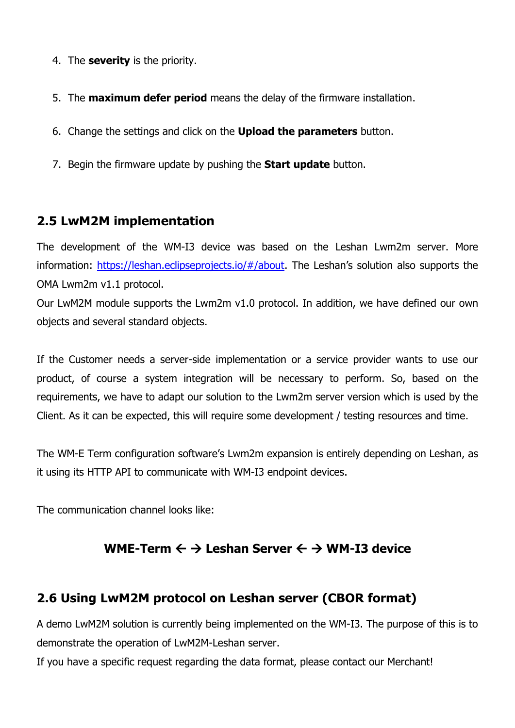- 4. The **severity** is the priority.
- 5. The **maximum defer period** means the delay of the firmware installation.
- 6. Change the settings and click on the **Upload the parameters** button.
- 7. Begin the firmware update by pushing the **Start update** button.

### **2.5 LwM2M implementation**

The development of the WM-I3 device was based on the Leshan Lwm2m server. More information:<https://leshan.eclipseprojects.io/#/about>. The Leshan's solution also supports the OMA Lwm2m v1.1 protocol.

Our LwM2M module supports the Lwm2m v1.0 protocol. In addition, we have defined our own objects and several standard objects.

If the Customer needs a server-side implementation or a service provider wants to use our product, of course a system integration will be necessary to perform. So, based on the requirements, we have to adapt our solution to the Lwm2m server version which is used by the Client. As it can be expected, this will require some development / testing resources and time.

The WM-E Term configuration software's Lwm2m expansion is entirely depending on Leshan, as it using its HTTP API to communicate with WM-I3 endpoint devices.

The communication channel looks like:

## **WME-Term**  $\leftarrow$  **→ Leshan Server**  $\leftarrow$  **→ WM-I3 device**

## **2.6 Using LwM2M protocol on Leshan server (CBOR format)**

A demo LwM2M solution is currently being implemented on the WM-I3. The purpose of this is to demonstrate the operation of LwM2M-Leshan server.

If you have a specific request regarding the data format, please contact our Merchant!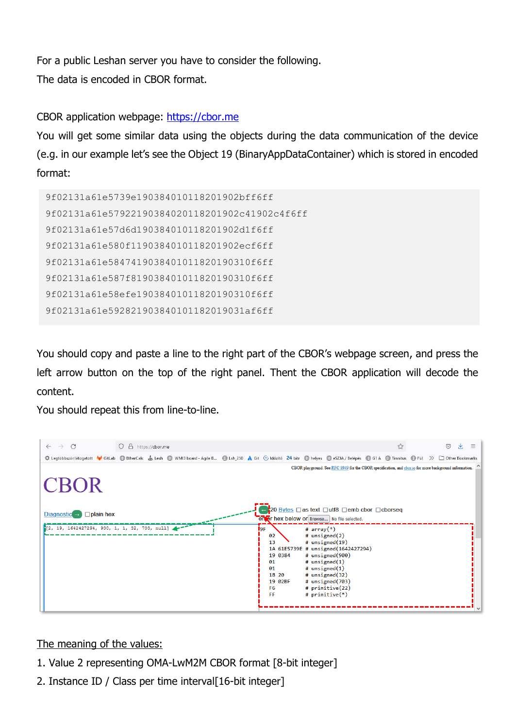For a public Leshan server you have to consider the following. The data is encoded in CBOR format.

#### CBOR application webpage: https://cbor.me

You will get some similar data using the objects during the data communication of the device (e.g. in our example let's see the Object 19 (BinaryAppDataContainer) which is stored in encoded format:

```
9f02131a61e5739e190384010118201902bff6ff
9f02131a61e57922190384020118201902c41902c4f6ff
9f02131a61e57d6d190384010118201902d1f6ff
9f02131a61e580f1190384010118201902ecf6ff
9f02131a61e5847419038401011820190310f6ff
9f02131a61e587f819038401011820190310f6ff
9f02131a61e58efe19038401011820190310f6ff
9f02131a61e592821903840101182019031af6ff
```
You should copy and paste a line to the right part of the CBOR's webpage screen, and press the left arrow button on the top of the right panel. Thent the CBOR application will decode the content.

You should repeat this from line-to-line.



#### The meaning of the values:

- 1. Value 2 representing OMA-LwM2M CBOR format [8-bit integer]
- 2. Instance ID / Class per time interval[16-bit integer]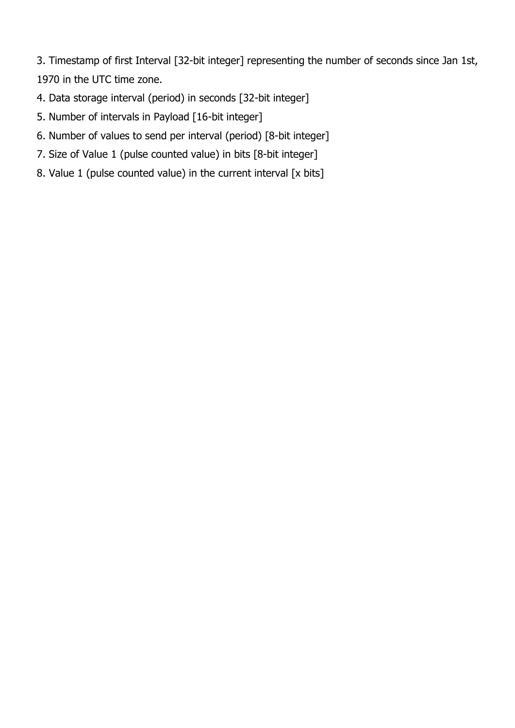3. Timestamp of first Interval [32-bit integer] representing the number of seconds since Jan 1st, 1970 in the UTC time zone.

- 4. Data storage interval (period) in seconds [32-bit integer]
- 5. Number of intervals in Payload [16-bit integer]
- 6. Number of values to send per interval (period) [8-bit integer]
- 7. Size of Value 1 (pulse counted value) in bits [8-bit integer]
- 8. Value 1 (pulse counted value) in the current interval [x bits]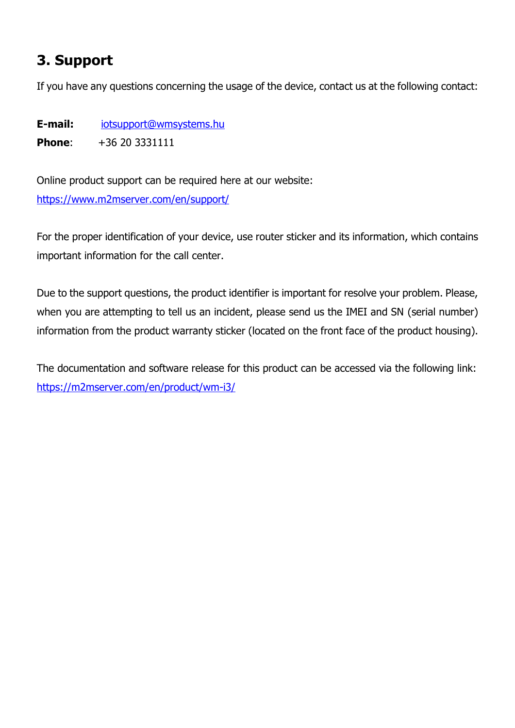# **3. Support**

If you have any questions concerning the usage of the device, contact us at the following contact:

**E-mail:** [iotsupport@wmsystems.hu](mailto:iotsupport@wmsystems.hu)

**Phone:** +36 20 3331111

Online product support can be required here at our website: <https://www.m2mserver.com/en/support/>

For the proper identification of your device, use router sticker and its information, which contains important information for the call center.

Due to the support questions, the product identifier is important for resolve your problem. Please, when you are attempting to tell us an incident, please send us the IMEI and SN (serial number) information from the product warranty sticker (located on the front face of the product housing).

The documentation and software release for this product can be accessed via the following link: <https://m2mserver.com/en/product/wm-i3/>